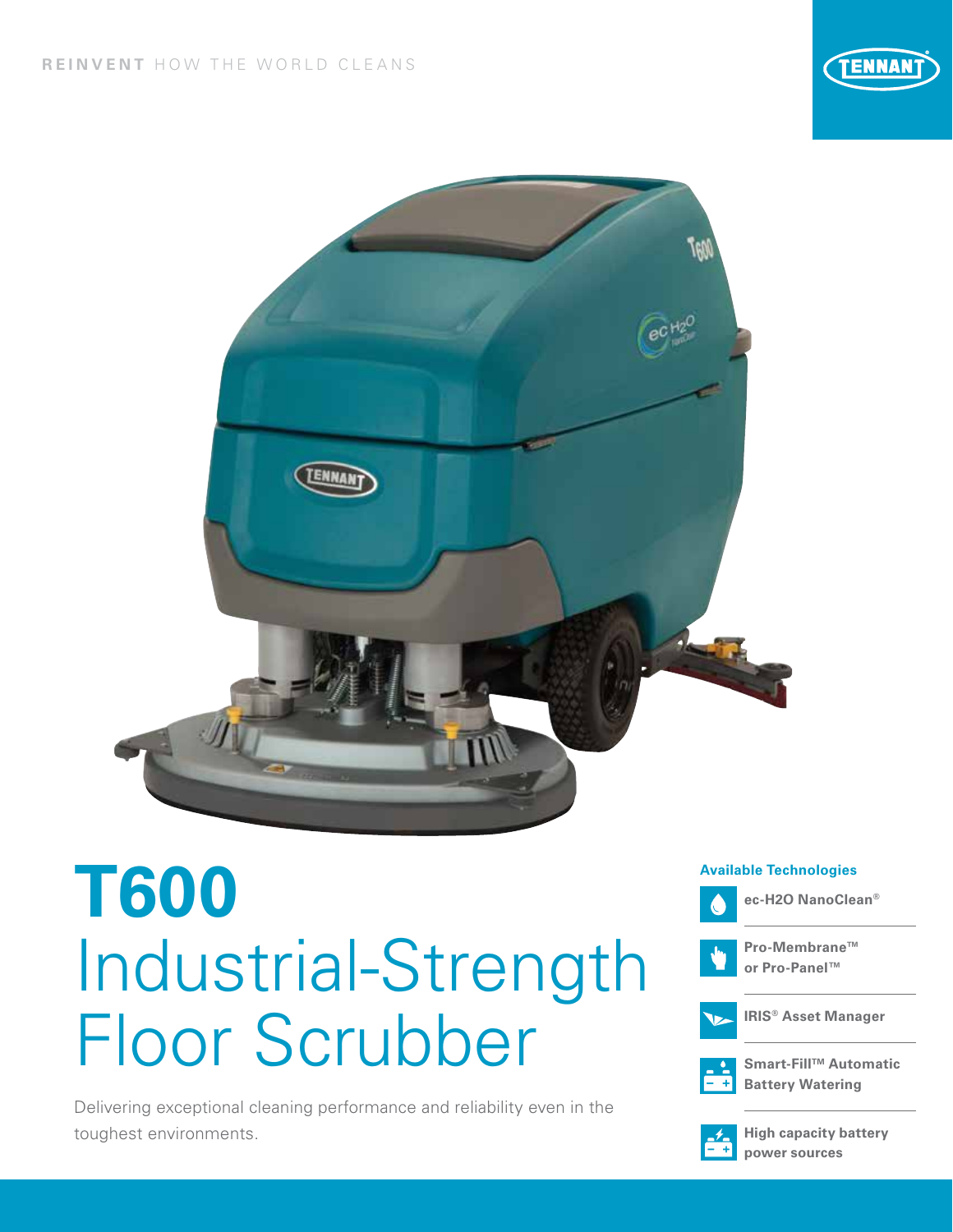



# **T600** Industrial-Strength Floor Scrubber

Delivering exceptional cleaning performance and reliability even in the toughest environments.

#### **Available Technologies**





**Pro-Membrane™ or Pro-Panel™**



**IRIS® Asset Manager**



**Smart-FillTM Automatic Battery Watering**



**High capacity battery power sources**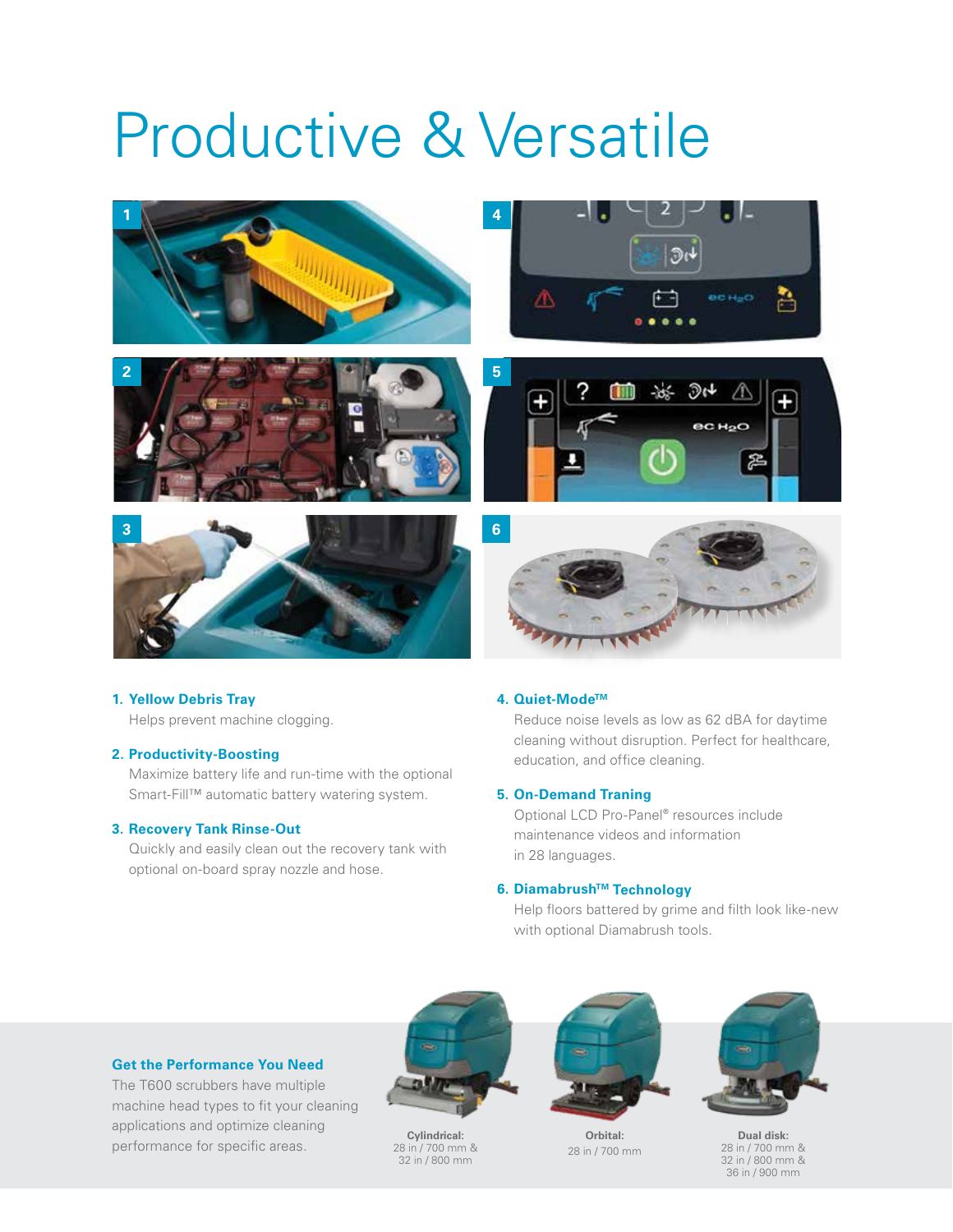## Productive & Versatile



#### **1. Yellow Debris Tray**

Helps prevent machine clogging.

#### **2. Productivity-Boosting**

Maximize battery life and run-time with the optional Smart-Fill™ automatic battery watering system.

#### **3. Recovery Tank Rinse-Out**

Quickly and easily clean out the recovery tank with optional on-board spray nozzle and hose.

#### **4. Quiet-ModeTM**

Reduce noise levels as low as 62 dBA for daytime cleaning without disruption. Perfect for healthcare, education, and office cleaning.

#### **5. On-Demand Traning**

Optional LCD Pro-Panel® resources include maintenance videos and information in 28 languages.

#### **6. DiamabrushTM Technology**

Help floors battered by grime and filth look like-new with optional Diamabrush tools.

#### **Get the Performance You Need**

The T600 scrubbers have multiple machine head types to fit your cleaning applications and optimize cleaning performance for specific areas. **Cylindrical:**



28 in / 700 mm & 32 in / 800 mm



**Orbital:** 28 in / 700 mm



**Dual disk:** 28 in / 700 mm & 32 in / 800 mm & 36 in / 900 mm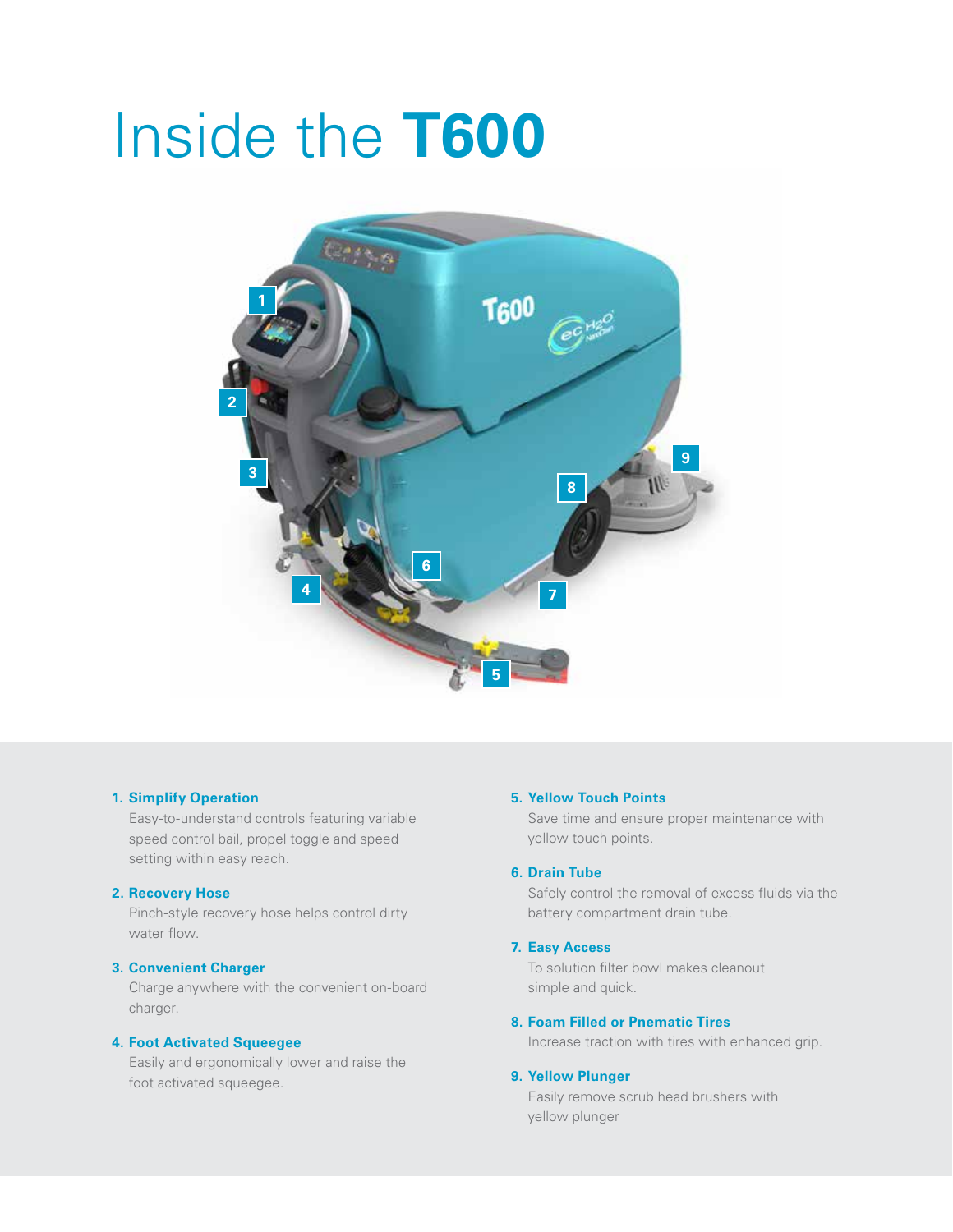## Inside the **T600**



#### **1. Simplify Operation**

Easy-to-understand controls featuring variable speed control bail, propel toggle and speed setting within easy reach.

#### **2. Recovery Hose**

Pinch-style recovery hose helps control dirty water flow.

#### **3. Convenient Charger**

Charge anywhere with the convenient on-board charger.

#### **4. Foot Activated Squeegee**

Easily and ergonomically lower and raise the foot activated squeegee.

#### **5. Yellow Touch Points**

Save time and ensure proper maintenance with yellow touch points.

#### **6. Drain Tube**

Safely control the removal of excess fluids via the battery compartment drain tube.

#### **7. Easy Access**

To solution filter bowl makes cleanout simple and quick.

#### **8. Foam Filled or Pnematic Tires**

Increase traction with tires with enhanced grip.

#### **9. Yellow Plunger**

Easily remove scrub head brushers with yellow plunger